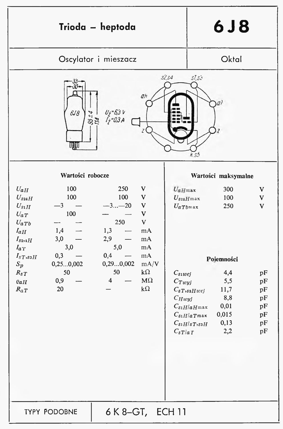| Trioda - heptoda                                                                                                                                                                    |                                                                                                                                                         |                                                           | 6J8                                                                               |                                                                         |                                              |
|-------------------------------------------------------------------------------------------------------------------------------------------------------------------------------------|---------------------------------------------------------------------------------------------------------------------------------------------------------|-----------------------------------------------------------|-----------------------------------------------------------------------------------|-------------------------------------------------------------------------|----------------------------------------------|
| Oscylator i mieszacz                                                                                                                                                                |                                                                                                                                                         |                                                           | Oktal                                                                             |                                                                         |                                              |
| $s\angle s4$<br>$S\bar{I}$ , $S\bar{J}$<br>aH<br>6J8<br>$U_{\dot{Z}} = 63 V$<br>$I_{\dot{Z}} = 0.3 A$<br>35/4<br>UQQV<br>K.S.5                                                      |                                                                                                                                                         |                                                           |                                                                                   |                                                                         |                                              |
| Wartości robocze                                                                                                                                                                    |                                                                                                                                                         |                                                           | Wartości maksymalne                                                               |                                                                         |                                              |
| 100<br>$U_{aH}$<br>100<br>$U_{s24H}$<br>$U_{S1H}$<br>-3<br>100<br>$U_{aT}$<br>$U_{aTb}$<br>1,4<br>$I_{\alpha H}$<br>3,0<br>$I_{s_2,s_1H}$<br>3,0<br>$I_{aT}$<br>0,3<br>$I_{sT,s3H}$ | 250<br>V<br>100<br>$\mathbf{V}$<br>$-3 - 20$<br>$\mathbf{V}$<br>$\mathbf{V}$<br>$\mathbf{V}$<br>250<br>1,3<br>mA<br>2,9<br>mA<br>5,0<br>mA<br>0,4<br>mA | $U_{aH}$ max                                              | $U_{s24}H$ max<br>$U_{aTb}$ max                                                   | 300<br>100<br>250                                                       | V<br>$\mathbf{V}$<br>$\mathbf{V}$            |
| 0,250,002<br>$S_p$<br>50<br>$R_{sT}$<br>0,9<br>$\varrho_{aH}$<br>20<br>$R_{aT}$                                                                                                     | 0,290,002<br>mA/V<br>$k\Omega$<br>50<br>$M\Omega$<br>$\overline{\mathbf{4}}$<br>$k\Omega$                                                               | $C_{s_1wej}$<br>$C_{Tw y j}$<br>$C_{Hwyl}$<br>$C_{sT/aT}$ | $C_{sT,saHwej}$<br>$C_{\delta 1}H/aH$ max<br>$C_{s_1H/aTmax}$<br>$C_{s1H/sT,s3H}$ | Pojemności<br>4,4<br>5,5<br>11,7<br>8,8<br>0,01<br>0,015<br>0,13<br>2,2 | pF<br>pF<br>pF<br>pF<br>pF<br>pF<br>pF<br>pF |
| <b>TYPY PODOBNE</b>                                                                                                                                                                 | 6 K 8-GT, ECH 11                                                                                                                                        |                                                           |                                                                                   |                                                                         |                                              |